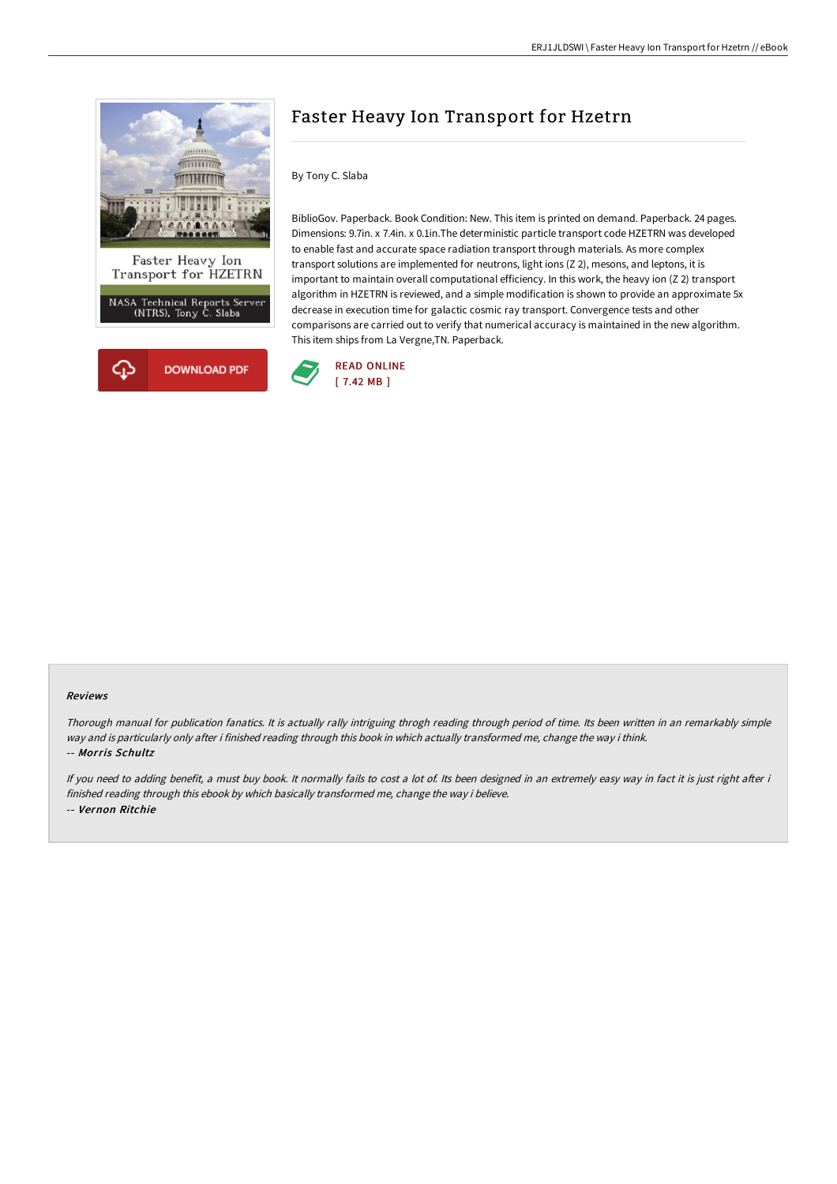

# Faster Heavy Ion Transport for Hzetrn

By Tony C. Slaba

BiblioGov. Paperback. Book Condition: New. This item is printed on demand. Paperback. 24 pages. Dimensions: 9.7in. x 7.4in. x 0.1in.The deterministic particle transport code HZETRN was developed to enable fast and accurate space radiation transport through materials. As more complex transport solutions are implemented for neutrons, light ions (Z 2), mesons, and leptons, it is important to maintain overall computational efficiency. In this work, the heavy ion (Z 2) transport algorithm in HZETRN is reviewed, and a simple modification is shown to provide an approximate 5x decrease in execution time for galactic cosmic ray transport. Convergence tests and other comparisons are carried out to verify that numerical accuracy is maintained in the new algorithm. This item ships from La Vergne,TN. Paperback.



#### Reviews

Thorough manual for publication fanatics. It is actually rally intriguing throgh reading through period of time. Its been written in an remarkably simple way and is particularly only after i finished reading through this book in which actually transformed me, change the way i think. -- Morris Schultz

If you need to adding benefit, a must buy book. It normally fails to cost a lot of. Its been designed in an extremely easy way in fact it is just right after i finished reading through this ebook by which basically transformed me, change the way i believe. -- Vernon Ritchie